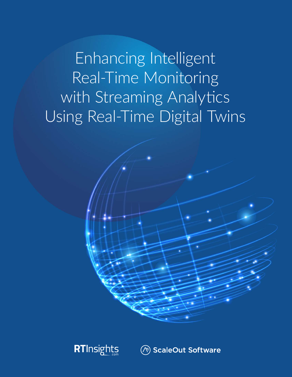Enhancing Intelligent Real-Time Monitoring with Streaming Analytics Using Real-Time Digital Twins





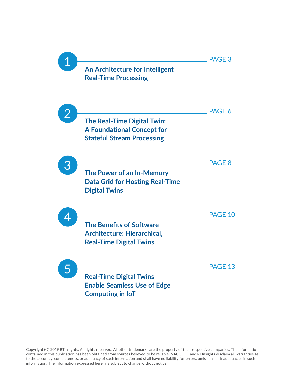

Copyright (©) 2019 RTInsights. All rights reserved. All other trademarks are the property of their respective companies. The information contained in this publication has been obtained from sources believed to be reliable. NACG LLC and RTInsights disclaim all warranties as to the accuracy, completeness, or adequacy of such information and shall have no liability for errors, omissions or inadequacies in such information. The information expressed herein is subject to change without notice.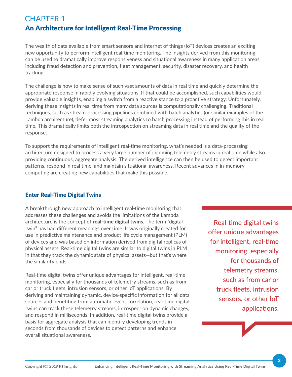#### CHAPTER 1 An Architecture for Intelligent Real-Time Processing

The wealth of data available from smart sensors and internet of things (IoT) devices creates an exciting new opportunity to perform intelligent real-time monitoring. The insights derived from this monitoring can be used to dramatically improve responsiveness and situational awareness in many application areas including fraud detection and prevention, fleet management, security, disaster recovery, and health tracking.

The challenge is how to make sense of such vast amounts of data in real time and quickly determine the appropriate response in rapidly evolving situations. If that could be accomplished, such capabilities would provide valuable insights, enabling a switch from a reactive stance to a proactive strategy. Unfortunately, deriving these insights in real time from many data sources is computationally challenging. Traditional techniques, such as stream-processing pipelines combined with batch analytics (or similar examples of the Lambda architecture), defer most streaming analytics to batch processing instead of performing this in real time. This dramatically limits both the introspection on streaming data in real time and the quality of the response.

To support the requirements of intelligent real-time monitoring, what's needed is a data-processing architecture designed to process a very large number of incoming telemetry streams in real time while also providing continuous, aggregate analysis. The derived intelligence can then be used to detect important patterns, respond in real time, and maintain situational awareness. Recent advances in in-memory computing are creating new capabilities that make this possible.

#### Enter Real-Time Digital Twins

A breakthrough new approach to intelligent real-time monitoring that addresses these challenges and avoids the limitations of the Lambda architecture is the concept of real-time digital twins. The term "digital twin" has had different meanings over time. It was originally created for use in predictive maintenance and product life cycle management (PLM) of devices and was based on information derived from digital replicas of physical assets. Real-time digital twins are similar to digital twins in PLM in that they track the dynamic state of physical assets—but that's where the similarity ends.

Real-time digital twins offer unique advantages for intelligent, real-time monitoring, especially for thousands of telemetry streams, such as from car or truck fleets, intrusion sensors, or other IoT applications. By deriving and maintaining dynamic, device-specific information for all data sources and benefiting from automatic event correlation, real-time digital twins can track these telemetry streams, introspect on dynamic changes, and respond in milliseconds. In addition, real-time digital twins provide a basis for aggregate analysis that can identify developing trends in seconds from thousands of devices to detect patterns and enhance overall situational awareness.

Real-time digital twins offer unique advantages for intelligent, real-time monitoring, especially for thousands of telemetry streams, such as from car or truck fleets, intrusion sensors, or other IoT applications.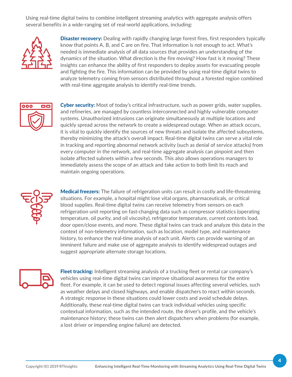Using real-time digital twins to combine intelligent streaming analytics with aggregate analysis offers several benefits in a wide-ranging set of real-world applications, including:



**Disaster recovery:** Dealing with rapidly changing large forest fires, first responders typically know that points A, B, and C are on fire. That information is not enough to act. What's needed is immediate analysis of all data sources that provides an understanding of the dynamics of the situation. What direction is the fire moving? How fast is it moving? These insights can enhance the ability of first responders to deploy assets for evacuating people and fighting the fire. This information can be provided by using real-time digital twins to analyze telemetry coming from sensors distributed throughout a forested region combined with real-time aggregate analysis to identify real-time trends.



Cyber security: Most of today's critical infrastructure, such as power grids, water supplies, and refineries, are managed by countless interconnected and highly vulnerable computer systems. Unauthorized intrusions can originate simultaneously at multiple locations and quickly spread across the network to create a widespread outage. When an attack occurs, it is vital to quickly identify the sources of new threats and isolate the affected subsystems, thereby minimizing the attack's overall impact. Real-time digital twins can serve a vital role in tracking and reporting abnormal network activity (such as denial of service attacks) from every computer in the network, and real-time aggregate analysis can pinpoint and then isolate affected subnets within a few seconds. This also allows operations managers to immediately assess the scope of an attack and take action to both limit its reach and maintain ongoing operations.



Medical freezers: The failure of refrigeration units can result in costly and life-threatening situations. For example, a hospital might lose vital organs, pharmaceuticals, or critical blood supplies. Real-time digital twins can receive telemetry from sensors on each refrigeration unit reporting on fast-changing data such as compressor statistics (operating temperature, oil purity, and oil viscosity), refrigerator temperature, current contents load, door open/close events, and more. These digital twins can track and analyze this data in the context of non-telemetry information, such as location, model type, and maintenance history, to enhance the real-time analysis of each unit. Alerts can provide warning of an imminent failure and make use of aggregate analysis to identify widespread outages and suggest appropriate alternate storage locations.



Fleet tracking: Intelligent streaming analysis of a trucking fleet or rental car company's vehicles using real-time digital twins can improve situational awareness for the entire fleet. For example, it can be used to detect regional issues affecting several vehicles, such as weather delays and closed highways, and enable dispatchers to react within seconds. A strategic response in these situations could lower costs and avoid schedule delays. Additionally, these real-time digital twins can track individual vehicles using specific contextual information, such as the intended route, the driver's profile, and the vehicle's maintenance history; these twins can then alert dispatchers when problems (for example, a lost driver or impending engine failure) are detected.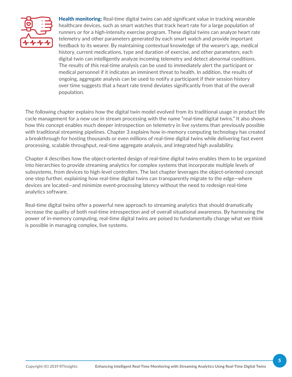

**Health monitoring:** Real-time digital twins can add significant value in tracking wearable healthcare devices, such as smart watches that track heart rate for a large population of runners or for a high-intensity exercise program. These digital twins can analyze heart rate telemetry and other parameters generated by each smart watch and provide important feedback to its wearer. By maintaining contextual knowledge of the wearer's age, medical history, current medications, type and duration of exercise, and other parameters, each digital twin can intelligently analyze incoming telemetry and detect abnormal conditions. The results of this real-time analysis can be used to immediately alert the participant or medical personnel if it indicates an imminent threat to health. In addition, the results of ongoing, aggregate analysis can be used to notify a participant if their session history over time suggests that a heart rate trend deviates significantly from that of the overall population.

The following chapter explains how the digital twin model evolved from its traditional usage in product life cycle management for a new use in stream processing with the name "real-time digital twins." It also shows how this concept enables much deeper introspection on telemetry in live systems than previously possible with traditional streaming pipelines. Chapter 3 explains how in-memory computing technology has created a breakthrough for hosting thousands or even millions of real-time digital twins while delivering fast event processing, scalable throughput, real-time aggregate analysis, and integrated high availability.

Chapter 4 describes how the object-oriented design of real-time digital twins enables them to be organized into hierarchies to provide streaming analytics for complex systems that incorporate multiple levels of subsystems, from devices to high-level controllers. The last chapter leverages the object-oriented concept one step further, explaining how real-time digital twins can transparently migrate to the edge—where devices are located—and minimize event-processing latency without the need to redesign real-time analytics software.

Real-time digital twins offer a powerful new approach to streaming analytics that should dramatically increase the quality of both real-time introspection and of overall situational awareness. By harnessing the power of in-memory computing, real-time digital twins are poised to fundamentally change what we think is possible in managing complex, live systems.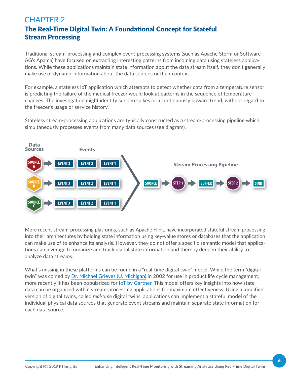#### CHAPTER 2 The Real-Time Digital Twin: A Foundational Concept for Stateful Stream Processing

Traditional stream-processing and complex event-processing systems (such as Apache Storm or Software AG's Apama) have focused on extracting interesting patterns from incoming data using stateless applications. While these applications maintain state information about the data stream itself, they don't generally make use of dynamic information about the data sources or their context.

For example, a stateless IoT application which attempts to detect whether data from a temperature sensor is predicting the failure of the medical freezer would look at patterns in the sequence of temperature changes. The investigation might identify sudden spikes or a continuously upward trend, without regard to the freezer's usage or service history.

Stateless stream-processing applications are typically constructed as a stream-processing pipeline which simultaneously processes events from many data sources (see diagram).



More recent stream-processing platforms, such as Apache Flink, have incorporated stateful stream processing into their architectures by holding state information using key-value stores or databases that the application can make use of to enhance its analysis. However, they do not offer a specific semantic model that applications can leverage to organize and track useful state information and thereby deepen their ability to analyze data streams.

What's missing in these platforms can be found in a "real-time digital twin" model. While the term "digital twin" was coined by [Dr. Michael Grieves \(U. Michigan\)](https://cimbaitaly.com/blog/people/michael-grieves/) in 2002 for use in product life cycle management, more recently it has been popularized for [IoT by Gartner.](https://www.gartner.com/smarterwithgartner/prepare-for-the-impact-of-digital-twins/) This model offers key insights into how state data can be organized within stream-processing applications for maximum effectiveness. Using a modified version of digital twins, called *real-time* digital twins, applications can implement a stateful model of the individual physical data sources that generate event streams and maintain separate state information for each data source.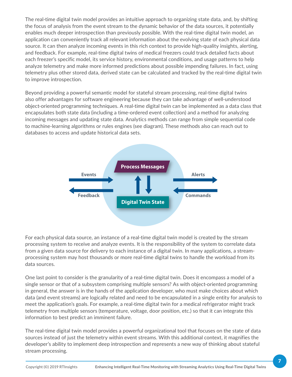The real-time digital twin model provides an intuitive approach to organizing state data, and, by shifting the focus of analysis from the event stream to the dynamic behavior of the data sources, it potentially enables much deeper introspection than previously possible. With the real-time digital twin model, an application can conveniently track all relevant information about the evolving state of each physical data source. It can then analyze incoming events in this rich context to provide high-quality insights, alerting, and feedback. For example, real-time digital twins of medical freezers could track detailed facts about each freezer's specific model, its service history, environmental conditions, and usage patterns to help analyze telemetry and make more informed predictions about possible impending failures. In fact, using telemetry plus other stored data, derived state can be calculated and tracked by the real-time digital twin to improve introspection.

Beyond providing a powerful semantic model for stateful stream processing, real-time digital twins also offer advantages for software engineering because they can take advantage of well-understood object-oriented programming techniques. A real-time digital twin can be implemented as a data class that encapsulates both state data (including a time-ordered event collection) and a method for analyzing incoming messages and updating state data. Analytics methods can range from simple sequential code to machine-learning algorithms or rules engines (see diagram). These methods also can reach out to databases to access and update historical data sets.



For each physical data source, an instance of a real-time digital twin model is created by the stream processing system to receive and analyze events. It is the responsibility of the system to correlate data from a given data source for delivery to each instance of a digital twin. In many applications, a streamprocessing system may host thousands or more real-time digital twins to handle the workload from its data sources.

One last point to consider is the granularity of a real-time digital twin. Does it encompass a model of a single sensor or that of a subsystem comprising multiple sensors? As with object-oriented programming in general, the answer is in the hands of the application developer, who must make choices about which data (and event streams) are logically related and need to be encapsulated in a single entity for analysis to meet the application's goals. For example, a real-time digital twin for a medical refrigerator might track telemetry from multiple sensors (temperature, voltage, door position, etc.) so that it can integrate this information to best predict an imminent failure.

The real-time digital twin model provides a powerful organizational tool that focuses on the state of data sources instead of just the telemetry within event streams. With this additional context, it magnifies the developer's ability to implement deep introspection and represents a new way of thinking about stateful stream processing.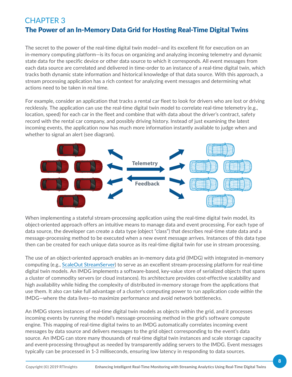## CHAPTER 3 The Power of an In-Memory Data Grid for Hosting Real-Time Digital Twins

The secret to the power of the real-time digital twin model—and its excellent fit for execution on an in-memory computing platform—is its focus on organizing and analyzing incoming telemetry and dynamic state data for the specific device or other data source to which it corresponds. All event messages from each data source are correlated and delivered in time-order to an instance of a real-time digital twin, which tracks both dynamic state information and historical knowledge of that data source. With this approach, a stream processing application has a rich context for analyzing event messages and determining what actions need to be taken in real time.

For example, consider an application that tracks a rental car fleet to look for drivers who are lost or driving recklessly. The application can use the real-time digital twin model to correlate real-time telemetry (e.g., location, speed) for each car in the fleet and combine that with data about the driver's contract, safety record with the rental car company, and possibly driving history. Instead of just examining the latest incoming events, the application now has much more information instantly available to judge when and whether to signal an alert (see diagram).



When implementing a stateful stream-processing application using the real-time digital twin model, its object-oriented approach offers an intuitive means to manage data and event processing. For each type of data source, the developer can create a data type (object "class") that describes real-time state data and a message-processing method to be executed when a new event message arrives. Instances of this data type then can be created for each unique data source as its real-time digital twin for use in stream processing.

The use of an object-oriented approach enables an in-memory data grid (IMDG) with integrated in-memory computing (e.g., [ScaleOut StreamServer\)](https://www.scaleoutsoftware.com/products/streamserver/) to serve as an excellent stream-processing platform for real-time digital twin models. An IMDG implements a software-based, key-value store of serialized objects that spans a cluster of commodity servers (or cloud instances). Its architecture provides cost-effective scalability and high availability while hiding the complexity of distributed in-memory storage from the applications that use them. It also can take full advantage of a cluster's computing power to run application code *within* the IMDG—where the data lives—to maximize performance and avoid network bottlenecks.

An IMDG stores instances of real-time digital twin models as objects within the grid, and it processes incoming events by running the model's message-processing method in the grid's software compute engine. This mapping of real-time digital twins to an IMDG automatically correlates incoming event messages by data source and delivers messages to the grid object corresponding to the event's data source. An IMDG can store many thousands of real-time digital twin instances and scale storage capacity and event-processing throughput as needed by transparently adding servers to the IMDG. Event messages typically can be processed in 1-3 milliseconds, ensuring low latency in responding to data sources.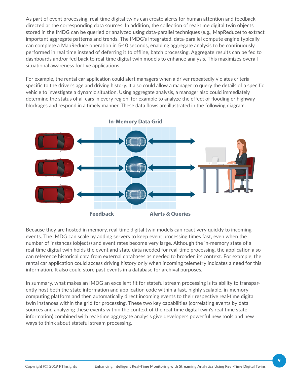As part of event processing, real-time digital twins can create alerts for human attention and feedback directed at the corresponding data sources. In addition, the collection of real-time digital twin objects stored in the IMDG can be queried or analyzed using data-parallel techniques (e.g., MapReduce) to extract important aggregate patterns and trends. The IMDG's integrated, data-parallel compute engine typically can complete a MapReduce operation in 5-10 seconds, enabling aggregate analysis to be continuously performed in real time instead of deferring it to offline, batch processing. Aggregate results can be fed to dashboards and/or fed back to real-time digital twin models to enhance analysis. This maximizes overall situational awareness for live applications.

For example, the rental car application could alert managers when a driver repeatedly violates criteria specific to the driver's age and driving history. It also could allow a manager to query the details of a specific vehicle to investigate a dynamic situation. Using aggregate analysis, a manager also could immediately determine the status of all cars in every region, for example to analyze the effect of flooding or highway blockages and respond in a timely manner. These data flows are illustrated in the following diagram.



Because they are hosted in memory, real-time digital twin models can react very quickly to incoming events. The IMDG can scale by adding servers to keep event processing times fast, even when the number of instances (objects) and event rates become very large. Although the in-memory state of a real-time digital twin holds the event and state data needed for real-time processing, the application also can reference historical data from external databases as needed to broaden its context. For example, the rental car application could access driving history only when incoming telemetry indicates a need for this information. It also could store past events in a database for archival purposes.

In summary, what makes an IMDG an excellent fit for stateful stream processing is its ability to transparently host both the state information and application code within a fast, highly scalable, in-memory computing platform and then automatically direct incoming events to their respective real-time digital twin instances within the grid for processing. These two key capabilities (correlating events by data sources and analyzing these events within the context of the real-time digital twin's real-time state information) combined with real-time aggregate analysis give developers powerful new tools and new ways to think about stateful stream processing.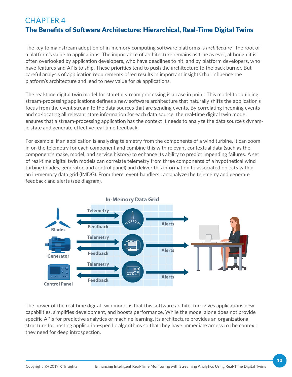#### CHAPTER 4 The Benefits of Software Architecture: Hierarchical, Real-Time Digital Twins

The key to mainstream adoption of in-memory computing software platforms is *architecture*—the root of a platform's value to applications. The importance of architecture remains as true as ever, although it is often overlooked by application developers, who have deadlines to hit, and by platform developers, who have features and APIs to ship. These priorities tend to push the architecture to the back burner. But careful analysis of application requirements often results in important insights that influence the platform's architecture and lead to new value for *all* applications.

The real-time digital twin model for stateful stream processing is a case in point. This model for building stream-processing applications defines a new software architecture that naturally shifts the application's focus from the event stream to the data sources that are sending events. By correlating incoming events and co-locating all relevant state information for each data source, the real-time digital twin model ensures that a stream-processing application has the context it needs to analyze the data source's dynamic state and generate effective real-time feedback.

For example, if an application is analyzing telemetry from the components of a wind turbine, it can zoom in on the telemetry for each component and combine this with relevant contextual data (such as the component's make, model, and service history) to enhance its ability to predict impending failures. A set of real-time digital twin models can correlate telemetry from three components of a hypothetical wind turbine (blades, generator, and control panel) and deliver this information to associated objects within an in-memory data grid (IMDG). From there, event handlers can analyze the telemetry and generate feedback and alerts (see diagram).



The power of the real-time digital twin model is that this software architecture gives applications new capabilities, simplifies development, and boosts performance. While the model alone does not provide specific APIs for predictive analytics or machine learning, its architecture provides an organizational structure for hosting application-specific algorithms so that they have immediate access to the context they need for deep introspection.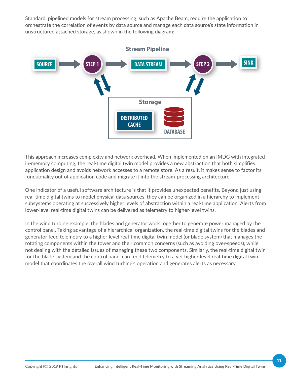Standard, pipelined models for stream processing, such as Apache Beam, require the application to orchestrate the correlation of events by data source and manage each data source's state information in unstructured attached storage, as shown in the following diagram:



This approach increases complexity and network overhead. When implemented on an IMDG with integrated in-memory computing, the real-time digital twin model provides a new abstraction that both simplifies application design and avoids network accesses to a remote store. As a result, it makes sense to factor its functionality out of application code and migrate it into the stream-processing architecture.

One indicator of a useful software architecture is that it provides unexpected benefits. Beyond just using real-time digital twins to model physical data sources, they can be organized in a hierarchy to implement subsystems operating at successively higher levels of abstraction within a real-time application. Alerts from lower-level real-time digital twins can be delivered as telemetry to higher-level twins.

In the wind turbine example, the blades and generator work together to generate power managed by the control panel. Taking advantage of a hierarchical organization, the real-time digital twins for the blades and generator feed telemetry to a higher-level real-time digital twin model (or blade system) that manages the rotating components within the tower and their common concerns (such as avoiding over-speeds), while not dealing with the detailed issues of managing these two components. Similarly, the real-time digital twin for the blade system and the control panel can feed telemetry to a yet higher-level real-time digital twin model that coordinates the overall wind turbine's operation and generates alerts as necessary.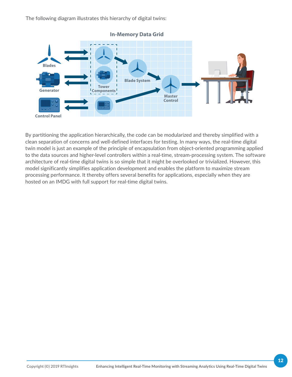The following diagram illustrates this hierarchy of digital twins:



By partitioning the application hierarchically, the code can be modularized and thereby simplified with a clean separation of concerns and well-defined interfaces for testing. In many ways, the real-time digital twin model is just an example of the principle of encapsulation from object-oriented programming applied to the data sources and higher-level controllers within a real-time, stream-processing system. The software architecture of real-time digital twins is so simple that it might be overlooked or trivialized. However, this model significantly simplifies application development and enables the platform to maximize stream processing performance. It thereby offers several benefits for applications, especially when they are hosted on an IMDG with full support for real-time digital twins.

#### Copyright (©) 2019 RTInsights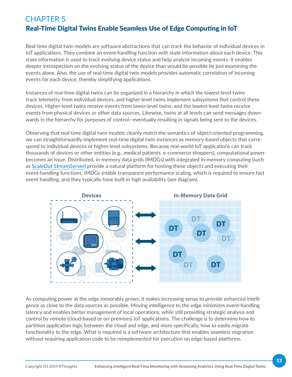## CHAPTER 5 Real-Time Digital Twins Enable Seamless Use of Edge Computing in IoT

Real-time digital twin models are software abstractions that can track the behavior of individual devices in IoT applications. They combine an event-handling function with state information about each device. This state information is used to track evolving device status and help analyze incoming events. It enables deeper introspection on the evolving status of the device than would be possible by just examining the events alone. Also, the use of real-time digital twin models provides automatic correlation of incoming events for each device, thereby simplifying applications.

Instances of real-time digital twins can be organized in a hierarchy in which the lowest-level twins track telemetry from individual devices, and higher-level twins implement subsystems that control these devices. Higher-level twins receive events from lower-level twins, and the lowest-level twins receive events from physical devices or other data sources. Likewise, twins at all levels can send messages downwards in the hierarchy for purposes of control—eventually resulting in signals being sent to the devices.

Observing that real-time digital twin models cleanly match the semantics of object-oriented programming, we can straightforwardly implement real-time digital twin instances as memory-based objects that correspond to individual devices or higher-level subsystems. Because real-world IoT applications can track thousands of devices or other entities (e.g., medical patients, e-commerce shoppers), computational power becomes an issue. Distributed, in-memory data grids (IMDGs) with integrated in-memory computing (such as [ScaleOut StreamServer](https://www.scaleoutsoftware.com/products/streamserver/)) provide a natural platform for hosting these objects and executing their event-handling functions. IMDGs enable transparent performance scaling, which is required to ensure fast event handling, and they typically have built-in high availability (see diagram).



As computing power at the edge inexorably grows, it makes increasing sense to provide enhanced intelligence as close to the data sources as possible. Moving intelligence to the edge minimizes event-handling latency and enables better management of local operations, while still providing strategic analysis and control by remote (cloud-based or on-premises) IoT applications. The challenge is to determine how to partition application logic between the cloud and edge, and more specifically, how to easily migrate functionality to the edge. What is required is a software architecture that enables seamless migration without requiring application code to be reimplemented for execution on edge-based platforms.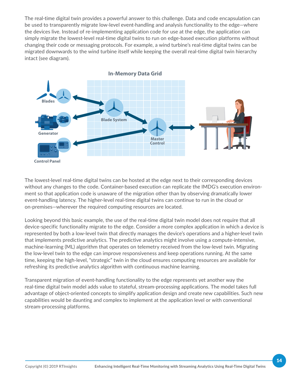The real-time digital twin provides a powerful answer to this challenge. Data and code encapsulation can be used to transparently migrate low-level event-handling and analysis functionality to the edge—where the devices live. Instead of re-implementing application code for use at the edge, the application can simply migrate the lowest-level real-time digital twins to run on edge-based execution platforms without changing their code or messaging protocols. For example, a wind turbine's real-time digital twins can be migrated downwards to the wind turbine itself while keeping the overall real-time digital twin hierarchy intact (see diagram).



The lowest-level real-time digital twins can be hosted at the edge next to their corresponding devices without any changes to the code. Container-based execution can replicate the IMDG's execution environment so that application code is unaware of the migration other than by observing dramatically lower event-handling latency. The higher-level real-time digital twins can continue to run in the cloud or on-premises—wherever the required computing resources are located.

Looking beyond this basic example, the use of the real-time digital twin model does not require that all device-specific functionality migrate to the edge. Consider a more complex application in which a device is represented by both a low-level twin that directly manages the device's operations and a higher-level twin that implements predictive analytics. The predictive analytics might involve using a compute-intensive, machine-learning (ML) algorithm that operates on telemetry received from the low-level twin. Migrating the low-level twin to the edge can improve responsiveness and keep operations running. At the same time, keeping the high-level, "strategic" twin in the cloud ensures computing resources are available for refreshing its predictive analytics algorithm with continuous machine learning.

Transparent migration of event-handling functionality to the edge represents yet another way the real-time digital twin model adds value to stateful, stream-processing applications. The model takes full advantage of object-oriented concepts to simplify application design and create new capabilities. Such new capabilities would be daunting and complex to implement at the application level or with conventional stream-processing platforms.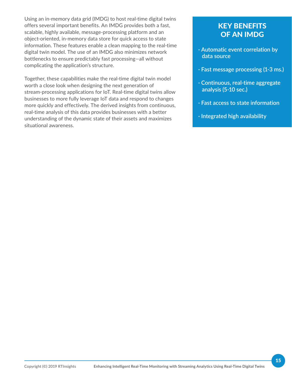Using an in-memory data grid (IMDG) to host real-time digital twins offers several important benefits. An IMDG provides both a fast, scalable, highly available, message-processing platform and an object-oriented, in-memory data store for quick access to state information. These features enable a clean mapping to the real-time digital twin model. The use of an IMDG also minimizes network bottlenecks to ensure predictably fast processing—all without complicating the application's structure.

Together, these capabilities make the real-time digital twin model worth a close look when designing the next generation of stream-processing applications for IoT. Real-time digital twins allow businesses to more fully leverage IoT data and respond to changes more quickly and effectively. The derived insights from continuous, real-time analysis of this data provides businesses with a better understanding of the dynamic state of their assets and maximizes situational awareness.

#### KEY BENEFITS OF AN IMDG

- **· Automatic event correlation by data source**
- **· Fast message processing (1-3 ms.)**
- **· Continuous, real-time aggregate analysis (5-10 sec.)**
- **· Fast access to state information**
- **· Integrated high availability**